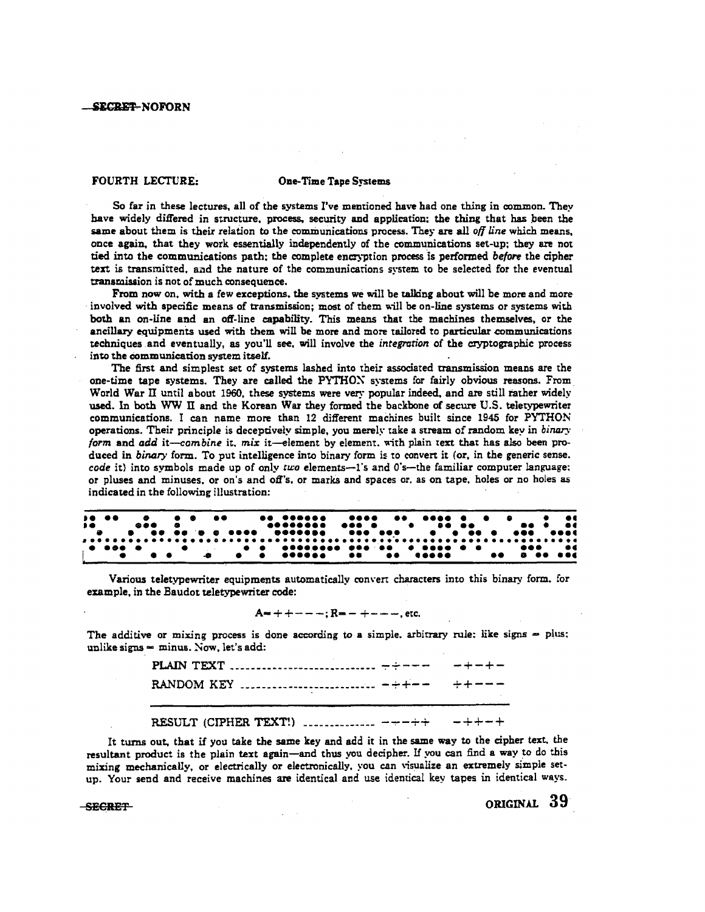## FOURTH LECTURE: One-Time Tape Systems

So far in these lectures, all of the systems I've mentioned have had one thing in common. They have widely differed in structure, process. security and application: the thing that has peen the same about them is their relation to the communications process. They are all *off line* which means, once again, that they work essentially independently of the communications set-up; they are not tied into the communications path; the complete encryption process is performed before the cipher text is transmitted, and the nature of the communications system to be selected for the eventual transmission is not of much consequence.

From now on, with a few exceptions, the systems we will be talking about will be more and more involved with specific means of transmission; most of them will be on-line systems or systems with both an on-line and an off-line capability. This means that the machines themselves, or the ancillary equipments used with them will be more and more tailored to particular communications techniques .and eventually, as you'll see, will involve the *integration* of the cryptographic process into the communication system itself.

The first and simplest set of systems lashed into their associated transmission means are the one-time tape systems. They are called the PYTHOX systems for fairly obvious reasons. From. World War II until about 1960, these systems were very popular indeed, and are still rather widely used. In both WW II and the Korean War they formed the backbone of secure U.S. teletypewriter communications. I can name more than 12 different machines built since 1945 for PYTHON operations. Their principle is deceptively simple, you merely take a stream of random key in *binary form and add it-combine it, mix it-element by element, with plain text that has also been pro*duced in *binary* form. To put intelligence into binary form is to convert it (or, in the generic sense. *code* it) into symbols made up of only *two* elements--1's and 0's--the familiar computer language: or pluses and minuses, or on's and off's, or marks and spaces or, as on tape, holes or no holes as indicated in the following illustration:

|  |                                  |  |  |  |  |  |  |  |  |  |  |  |  |  |  |  |  |  |  | $\bullet\quad\bullet\epsilon$ |
|--|----------------------------------|--|--|--|--|--|--|--|--|--|--|--|--|--|--|--|--|--|--|-------------------------------|
|  | $\bullet$ . The set of $\bullet$ |  |  |  |  |  |  |  |  |  |  |  |  |  |  |  |  |  |  |                               |
|  |                                  |  |  |  |  |  |  |  |  |  |  |  |  |  |  |  |  |  |  |                               |
|  |                                  |  |  |  |  |  |  |  |  |  |  |  |  |  |  |  |  |  |  |                               |

Various teletypewriter equipments automatically com·en characters into this binaty form. for example, in the Baudot teletypewriter code:

# $A = + + - - -$ ;  $R = - + - - -$ , etc.

The additive or mixing process is done according to a simple. arbitrary rule: like signs  $=$  plus: unlike signs  $=$  minus. Now, let's add:

| RESULT (CIPHER TEXT!) $\ldots$ $\ldots$ $\ldots$ $\ldots$ $\ldots$ |  |
|--------------------------------------------------------------------|--|

It turns out, that if you take the same key and add it in the same way to the cipher text. the resultant product is the plain text again-and thus you decipher. If you can find a way to do this mixing mechanically, or electrically or electronically, you can \"isualize an extremely simple setup. Your send and receive machines are identical and use identical key tapes in identical ways.

 $S$ exerfinitive order to the contract of  $\sim$   $S$ 9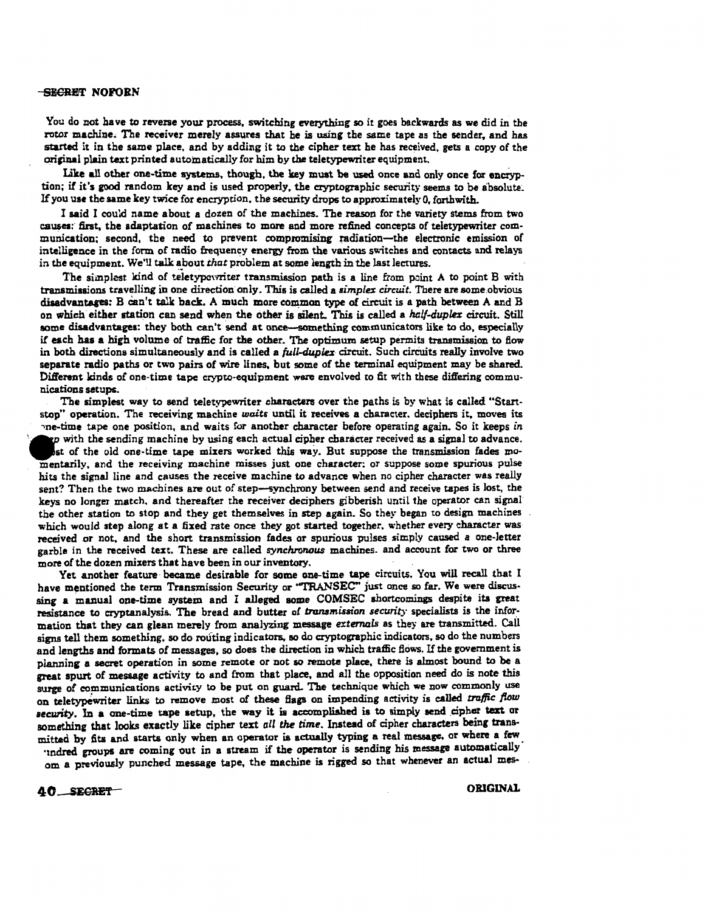You do not have to reverse your process, switching everything so it goes backwards as we did in the rotor machine. The receiver merely assures that he is using the same tape as the sender, and has started it in the same place, and by adding it to the cipher text he has received, gets a copy of the original plain text printed automatically for him by the teletypewriter equipment.

Like all other one-time systems, though, the key must be used once and only once for encryption: if it's good random key and is used properly, the cryptographic security seems to be absolute. If you use the same key twice for encryption. the security drops to approximately 0, forthwith.

I said I could name about a dozen of the machines. The reason for the variecy stems from two causes: first, the adaptation of machines to more and more refined concepts of teletypewriter communication; second, the need to prevent compromising radiation-the electronic emission of intelligence in the form of radio frequency energy from the various switches and contacts and relays in the equipment. We'll talk about *that:* problem at some length in the last lectures.

The simplest kind of teletypewriter transmission path is a line from point A to point B with transmissions travelling in one direction only. This is called a *simplex circuit.* There are some .obvious disadvantages:  $B$  can't talk back. A much more common type of circuit is a path between A and  $B$ on which either station can send when the other is silent. This is called a *half-dupla* circuit. Still some disadvantages: they both can't send at once-something communicators like to do, especially if each has a high volume of traffic for the other. The optimum setup permits transmission to flow in both directions simultaneously and is called a *full-duplex* circuit. Such circuits really involve two separate radio paths or two pairs of wire lines, but some of the terminal equipment may be shared. Different kinds of one-time tape crypto-equipment were envolved to fit with these differing communications setups.

The simplest way to send teletypewriter characters over the paths is by what is called "Startstop" operation. The receiving machine *waits* until it receives a character. deciphers it, moves its The time tape one position, and waits for another character before operating again. So it keeps *in*<br> *rep* with the sending machine by using each actual cipher character received as a signal to advance.<br>
Let of the old on st of the old one-time tape mixers worked this way. But suppose the transmission fades momentarily, and the receiving machine misses just one character: or suppose some spurious pulse hits the signal line and causes the receive machine to advance when no cipher character was really sent? Then the two machines are out of step-synchrony between send and receive tapes is lost, the keys no longer match, and thereafter the receiver deciphers gibberish until the operator can signal the other station to stop and they get themselves in step again. So they began to design machines which would step along at a fixed rate once they got started together, whether every character was received or not, and the short transmission fades or spurious pulses simply caused a one-letter garble in the received text. These are called *synchronous* machines. and account for two or three more of the dozen mixers that have been in our inventory.

Yet another feature became desirable for some one-time tape circuits. You will recall that I have mentioned the term Transmission Security or "TRANSEC" just once so far. We were discussing a manual one-time system and I alleged some COMSEC shortcomings despite its great resistance *to* cryptanalysis. The bread and butter of *trunsmissian security* specialists is the infor· mation that they can glean merely from analyzing message *externals* as they are transmitted. Call signs tell them something, so do routing indicators, so do cryptographic indicators, so do the numbers and lengths and formats of messages, so does the direction in which traffic Bows. If the government is planning a secret operation in some remote or not so remote place, there is almost bound to be a great spurt of message activity to and from that place. and all the opposition need do is note this surge of communications activity to be put on guard. The technique which we now commonly use on teletypewriter links to remove most of these flags on impending activity is called traffic flow security. In a one-time tape setup, the way it is accomplished is to simply send cipher text or something that looks exactly like cipher text *all the time*. Instead of cipher characters being transmitted by fits and starts only when an operator is actually typing a real message, or where a few

undred groups are coming out in a stream if the operator is sending his message automatically om a previously punched message tape, the machine is rigged so that whenever an actual mes-

ORIGINAL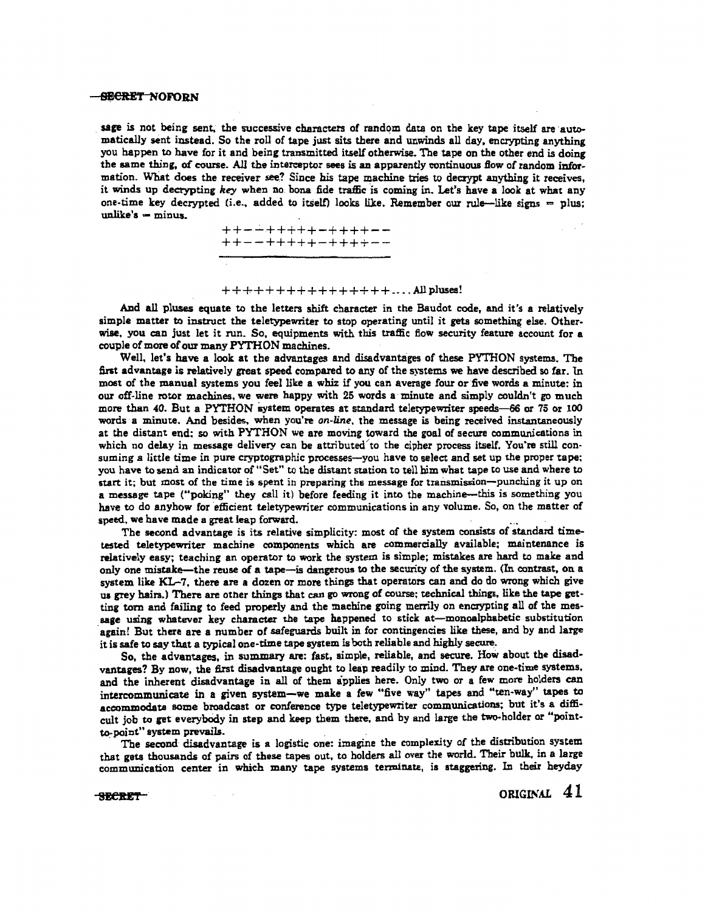### -<del>SECRET N</del>OFORN

sage is not being sent, the successive characters of random data on the key tape itself are automatically sent instead. So the roll of tape just sits there and unwinds all day, encrypting anything you happen to have for it and being transmitted itself otherwise. The tape on the other end is doing the same thing, of course. All the interceptor sees is an apparently continuous flow of random information. What does the receiver see? Since his tape machine tries to decrypt anything it receives, it winds up decrypting *key* when no. bona fide traffic is coming in. Let's have a look at what any one-time key decrypted (i.e., added to itself) looks like. Remember our rule-like signs = plus;  $unlike's = minus$ .

> ++-..:..+++++-++++-- ++--+++++-++++--

### $+++++++++++++++++...$  . All pluses!

And all pluses equate to the letters shift character in the Baudot code, and it's a relatively simple matter to instruct the teletypewriter to stop operating until it gets something else. Otherwise, you can just let it run. So, equipments with this traffic flow security feature account for a couple of more of our many PYTHON machines.

Well, let's have a look at the advantages and disadvantages of these PYTHON systems. The first advantage is relatively great speed compared to any of the systems we have described so far. In most of the manual systems you feel like a whiz if you can average four or five words a minute: in our off-line rotor machines, we were happy with 25 words a minute and simply couldn't go much more than *40.* But a PYTHON &ystem operates at standard teletypewriter speeds--66 or 75 or 100 words a minute. And besides, when you're *an-line,* the message is being received instantaneously at the distant end: so with PYTHON we are moving toward the goal of secure communications in which no delay in message delivery can be attributed to the cipher process itself. You're still consuming a little time in pure cryptographic processes-you have to select and set up the proper tape; you have to send an indicator of "Set" to the distant station to tell him what tape to use and where to start it; but most of the time is spent in preparing the message for transmission-punching it up on a message tape ("poking" they call it) before feeding it into the machine-this is something you have to do anyhow for efficient teletypewriter communications in any volume. So, on the matter of speed, we have made a great leap forward.

The second advantage is its relative simplicity: most of the system consists of standard timetested teletypewriter machine companents which are commercially available: maintenance is relatively easy; teaching an operator to work the system is simple; mistakes are hard to make and only one mistake-the reuse of a tape-is dangerous to the security of the system. (In contrast, on a system like KL-7, there are a dozen or more things that operators can and do do wrong which give ua grey hairs.) There are other things that can go wrong of course; technical things, like the tape get· ting torn and failing to feed properly and the machine going merrily on encrypting all of the message using whatever key character the tape happened to stick at-monoalphabetic substitution again! But there are a number of safeguards built in for contingencies like these, and by and large it is safe to say that a typical one-time tape system is both reliable and highly secure.

So, the advantages, in summary are: fast, simple, reliable, and secure. How about the disadvantages? By now, the first disadvantage ought to leap readily to mind. They are one-time systems, and the inherent disadvantage in all of them applies here. Only two or a few more holders can intercommunicate in a given system-we make a few "five way" tapes and "ten-way" tapes to accommodate some broadcast or conference type teletypewriter communications; but it's a difficult job to get everybody in step and keep them there, and by and large the two-holder or "pointto-point" system prevails.

The second disadvantage is a logistic one: imagine the complexity of the distribution system that gets thousands of pairs of these tapes out, to holders all over the world. Their bulk, in a large communication center in which many tape systems terminate, is staggering. In their heyday

-SECRET-

ORIGINAL 41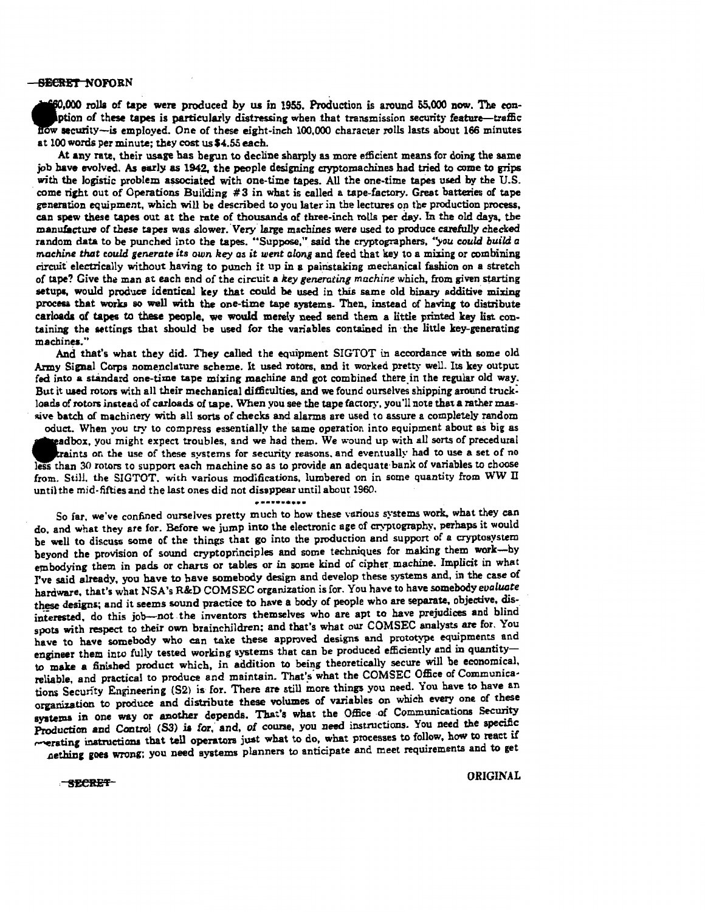• ,000 rolla of tape were produced by us in 1955. Production is around 55.000 now. The eon. ption of these tapes is particularly distressing when that transmission security feature-traffic: security-is employed. One of these eight-inch 100,000 character rolls lasts about 166 minutes at 100 words per minute; they cost us \$4.55 each.

At any rate, their usage has begun to decline sharply as more efficient means for doing the aame job have evolved. As early as 1942, the people designing cryptomachines had tried to come to grips with the logistic problem associated with one-time tapes. All the one-time tapes used by the U.S. come rieht out of Operations Building #3 in what is called a tape-factory. Great batteries of tape generation equipment, which will be described to you later in the lectures on the production process. can spew these tapes out at the rate of thousands of three-inch rolls per day. In the old days, the manufacture of these tapes was slower. Very large machines were used to produce carefully checked random data to be punched into the tapes. "Suppose," said the cryptographers, "you could build a *machine that could generate its own key as it went along and feed that key to a mixing or combining* circuit' electrically without having to punch it up in a painstaking mechanical fashion on a stretch of tape? Give the man at each end of the circuit a *key generating machine* which, from given starting setupa, would produce identical key that could be used in this same old binary additive mixing procesa that works so well with the one-time tape systems. Then. instead of having to distribute carloads of tapes to these people, we would merely need send them a little printed key list containing the settings that should be used for the variables contained in the little key-generating machines."

And that's what they did. They called the equipment SIGTOT in accordance with some old Army Signal Corps nomenclature scheme. lt used rotors, and it worked pretty well. Its key output fed into a standard one-time tape mixing machine and got combined there in the regular old way. But it uaed rotors with all their mechanical difficulties, and we found ounelves shipping around truck: loads of rotors instead of carloads of tape. When you see the tape factory, you'll note that a rather massive batch of machinery with all sorts of checks and alarms are used to assure a completely random

oduct. When you try to compress essentially the same operation into equipment about as big as aadbox, you might expect troubles, and we had them. We wound up with all sorts of precedural traints on the use of these systems for security reasons, and eventually had to use a set of no less than 30 rotors to support each machine so as to provide an adequate bank of variables to choose from. Still. the SIGTOT. with various modifications, lumbered on in some quantity from WW II untiJ the mid-fifties and the last ones did not disappear until about 1960.

··-······· So far, we've confined ourselves pretty much to how these various systems work. what they can do. and what they are for. Before we jump into the electronic age of cry-piography. perhaps it would be well to discuss some of the things that go into the production and support of a cryptosystem beyond the provision of sound cryptoprinciples and some techniques for making them work-by embodying them in pads or charts or tables or in some kind of cipher machine. Implicit in what rve said already, you have to have somebody design and develop these systems and, in the case of hardware, that's what NSA's R&D COM SEC organization is for. You have to have somebody *evaluate*  these designs; and it seems sound practice to have a body of people who are separate. objective. disinterested, do this job-not. the inventors themselves who are apt to have prejudices and blind spots with respect to their own brainchildren; and that's what our COMSEC analysts are for. You have to have somebody who can take these approved designs and prototype equipments and engineer them into fully tested working systems that can be produced efficiently and in quantityto make a finished product which, in addition to being theoretically secure will be economical, reliable, and practical to produce and maintain. That's what the COMSEC Office of Communications Security Engineering (S2) is for. There are still more things you need. You have to have an organization to produce and distribute these volumes of variables on which every one of these systems in one way or another depends. That's what the Office of Communications Security Production and Control (S3) is for, and, of course, you need instructions. You need the specific ~verating instructions that tell operators just what to do, what processes to follow, how to react if nething goes wrong; you need systems planners to anticipate and meet requirements and to get

SECRET ORIGINAL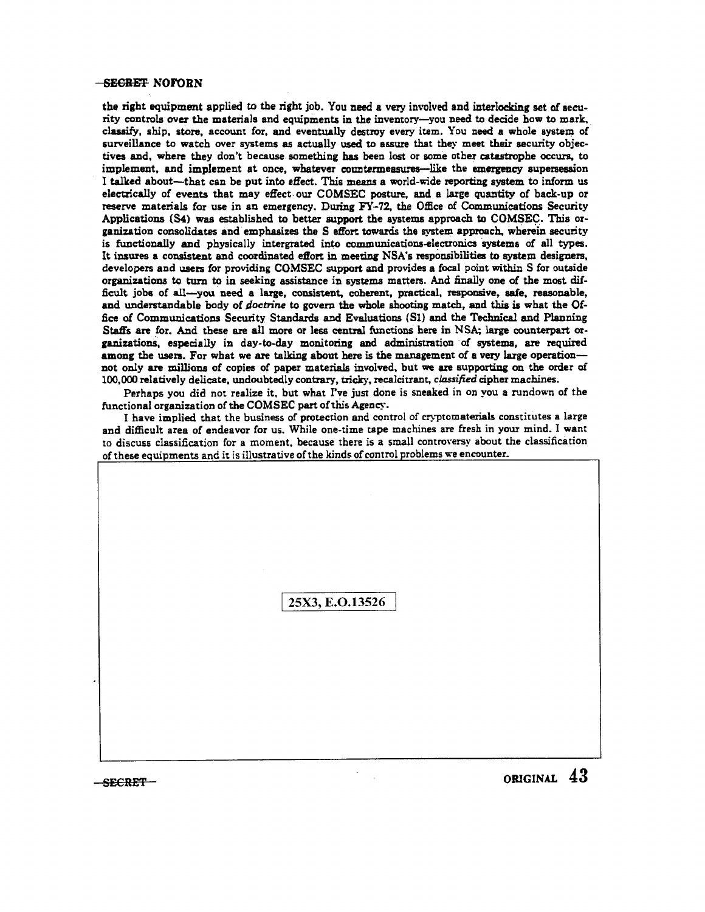the right equipment applied to the right job. You need a very involved and interlocking set of security controls over the materials and equipments in the inventory-you need to decide how to mark. classify, ship, store, account for, and eventually destroy every item. You need a whole system of surveillance to watch over systems as actually used to assure that they meet their security objectives and, where they don't because something has been lost or some other catastrophe occurs. to implement, and implement at once, whatever countermeasures-like the emergency supersession I talked about-that can be put into effect. This means a world-wide reporting system to inform us electrically of events that may effect. our COMSEC posture. and a large quantity of back-up or reserve materials for use in an emergency. During FY-72. the Office of Communications Security Applications (S4) was established to better support the aystems approach to COMSEC. This organization consolidates and emphasizes the S effort towards the system approach. wherein security is functionally and physically intergrated into communications-electronics systems of all types. It insures a consistent and coordinated effort in meeting NSA's responsibilities to system designers, developers and users for providing COMSEC support and provides a focal point within S for outside organizations to turn to in seeking assistance in systems matters. And finally one of the most difficult jobs of all-you need a large, consistent, coherent, practical, responsive, safe, reasonable, and understandable body of *doctrine* to govern the whole shooting match, and this is what the Office of Communications Security Standards and Evaluations (SI) and the Technical and Planning Staffs are for. And these are all more or less central functions here in NSA; large counterpart organizations, especially in day-to-day monitoring and administration of systems, are required among the users. For what we are talking about here is the management of a very large operationnot only are millions of copies of paper material& involved. but we are supporting on the order of 100,000 relatively delicate, undoubtedly contrary, tricky, recalcitrant, *classified* cipher machines.

Perhaps you did not realize it, but what I've just done is sneaked in on you a rundown of the functional organization of the COMSEC part of this Agency.

I have implied that the business of protection and control of cryptomaterials constitutes a large and difficult area of endeavor for us. While one-time tape machines are fresh in your mind. I want to discuss classification for a moment, because there is a small controversy about the classification of these equipments and it is illustrative of the kinds of control problems we encounter.

25X3, E.O.13526

 $-$  secret  $-$  original 43